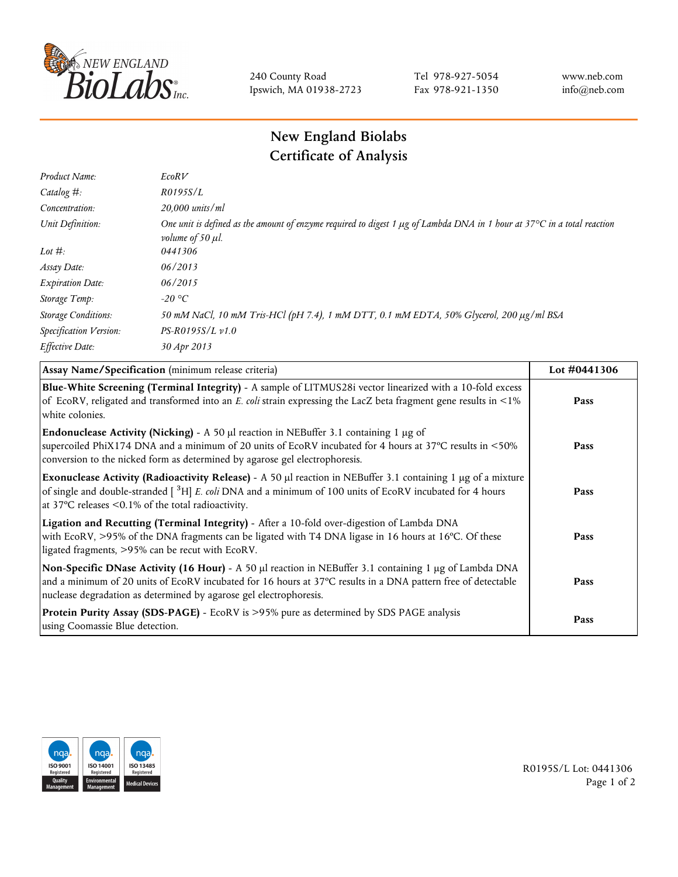

240 County Road Ipswich, MA 01938-2723 Tel 978-927-5054 Fax 978-921-1350 www.neb.com info@neb.com

## **New England Biolabs Certificate of Analysis**

| Product Name:              | EcoRV                                                                                                                                                                            |
|----------------------------|----------------------------------------------------------------------------------------------------------------------------------------------------------------------------------|
| Catalog $#$ :              | R0195S/L                                                                                                                                                                         |
| Concentration:             | 20,000 units/ml                                                                                                                                                                  |
| Unit Definition:           | One unit is defined as the amount of enzyme required to digest 1 $\mu$ g of Lambda DNA in 1 hour at 37 $\degree$ C in a total reaction<br><i>volume of 50 <math>\mu</math>l.</i> |
| Lot $#$ :                  | 0441306                                                                                                                                                                          |
| Assay Date:                | 06/2013                                                                                                                                                                          |
| <b>Expiration Date:</b>    | 06/2015                                                                                                                                                                          |
| Storage Temp:              | $-20$ °C                                                                                                                                                                         |
| <b>Storage Conditions:</b> | 50 mM NaCl, 10 mM Tris-HCl (pH 7.4), 1 mM DTT, 0.1 mM EDTA, 50% Glycerol, 200 µg/ml BSA                                                                                          |
| Specification Version:     | $PS-R0195S/L \nu 1.0$                                                                                                                                                            |
| Effective Date:            | 30 Apr 2013                                                                                                                                                                      |

| Assay Name/Specification (minimum release criteria)                                                                                                                                                                                                                                               | Lot #0441306 |
|---------------------------------------------------------------------------------------------------------------------------------------------------------------------------------------------------------------------------------------------------------------------------------------------------|--------------|
| Blue-White Screening (Terminal Integrity) - A sample of LITMUS28i vector linearized with a 10-fold excess<br>of EcoRV, religated and transformed into an E. coli strain expressing the LacZ beta fragment gene results in <1%<br>white colonies.                                                  | Pass         |
| <b>Endonuclease Activity (Nicking)</b> - A 50 $\mu$ l reaction in NEBuffer 3.1 containing 1 $\mu$ g of<br>supercoiled PhiX174 DNA and a minimum of 20 units of EcoRV incubated for 4 hours at 37°C results in <50%<br>conversion to the nicked form as determined by agarose gel electrophoresis. | Pass         |
| Exonuclease Activity (Radioactivity Release) - A 50 µl reaction in NEBuffer 3.1 containing 1 µg of a mixture<br>of single and double-stranded $\int^3 H$ E. coli DNA and a minimum of 100 units of EcoRV incubated for 4 hours<br>at 37 $\degree$ C releases < 0.1% of the total radioactivity.   | Pass         |
| Ligation and Recutting (Terminal Integrity) - After a 10-fold over-digestion of Lambda DNA<br>with EcoRV, >95% of the DNA fragments can be ligated with T4 DNA ligase in 16 hours at 16°C. Of these<br>ligated fragments, >95% can be recut with EcoRV.                                           | Pass         |
| Non-Specific DNase Activity (16 Hour) - A 50 µl reaction in NEBuffer 3.1 containing 1 µg of Lambda DNA<br>and a minimum of 20 units of EcoRV incubated for 16 hours at 37°C results in a DNA pattern free of detectable<br>nuclease degradation as determined by agarose gel electrophoresis.     | Pass         |
| Protein Purity Assay (SDS-PAGE) - EcoRV is >95% pure as determined by SDS PAGE analysis<br>using Coomassie Blue detection.                                                                                                                                                                        | Pass         |



R0195S/L Lot: 0441306 Page 1 of 2